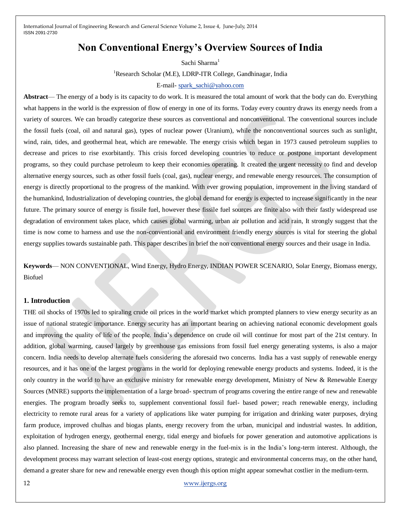# **Non Conventional Energy's Overview Sources of India**

Sachi Sharma<sup>1</sup> <sup>1</sup>Research Scholar (M.E), LDRP-ITR College, Gandhinagar, India E-mail- [spark\\_sachi@yahoo.com](mailto:spark_sachi@yahoo.com)

**Abstract**— The energy of a body is its capacity to do work. It is measured the total amount of work that the body can do. Everything what happens in the world is the expression of flow of energy in one of its forms. Today every country draws its energy needs from a variety of sources. We can broadly categorize these sources as conventional and nonconventional. The conventional sources include the fossil fuels (coal, oil and natural gas), types of nuclear power (Uranium), while the nonconventional sources such as sunlight, wind, rain, tides, and geothermal heat, which are renewable. The energy crisis which began in 1973 caused petroleum supplies to decrease and prices to rise exorbitantly. This crisis forced developing countries to reduce or postpone important development programs, so they could purchase petroleum to keep their economies operating. It created the urgent necessity to find and develop alternative energy sources, such as other fossil fuels (coal, gas), nuclear energy, and renewable energy resources. The consumption of energy is directly proportional to the progress of the mankind. With ever growing population, improvement in the living standard of the humankind, Industrialization of developing countries, the global demand for energy is expected to increase significantly in the near future. The primary source of energy is fissile fuel, however these fissile fuel sources are finite also with their fastly widespread use degradation of environment takes place, which causes global warming, urban air pollution and acid rain, It strongly suggest that the time is now come to harness and use the non-conventional and environment friendly energy sources is vital for steering the global energy supplies towards sustainable path. This paper describes in brief the non conventional energy sources and their usage in India.

**Keywords**— NON CONVENTIONAL, Wind Energy, Hydro Energy, INDIAN POWER SCENARIO, Solar Energy, Biomass energy, Biofuel

### **1. Introduction**

THE oil shocks of 1970s led to spiraling crude oil prices in the world market which prompted planners to view energy security as an issue of national strategic importance. Energy security has an important bearing on achieving national economic development goals and improving the quality of life of the people. India's dependence on crude oil will continue for most part of the 21st century. In addition, global warming, caused largely by greenhouse gas emissions from fossil fuel energy generating systems, is also a major concern. India needs to develop alternate fuels considering the aforesaid two concerns. India has a vast supply of renewable energy resources, and it has one of the largest programs in the world for deploying renewable energy products and systems. Indeed, it is the only country in the world to have an exclusive ministry for renewable energy development, Ministry of New & Renewable Energy Sources (MNRE) supports the implementation of a large broad- spectrum of programs covering the entire range of new and renewable energies. The program broadly seeks to, supplement conventional fossil fuel- based power; reach renewable energy, including electricity to remote rural areas for a variety of applications like water pumping for irrigation and drinking water purposes, drying farm produce, improved chulhas and biogas plants, energy recovery from the urban, municipal and industrial wastes. In addition, exploitation of hydrogen energy, geothermal energy, tidal energy and biofuels for power generation and automotive applications is also planned. Increasing the share of new and renewable energy in the fuel-mix is in the India's long-term interest. Although, the development process may warrant selection of least-cost energy options, strategic and environmental concerns may, on the other hand, demand a greater share for new and renewable energy even though this option might appear somewhat costlier in the medium-term.

12 [www.ijergs.org](http://www.ijergs.org/)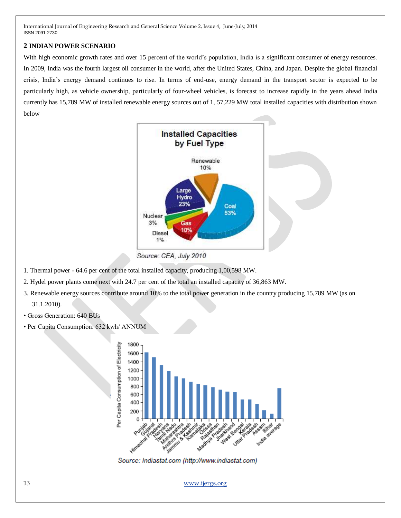# **2 INDIAN POWER SCENARIO**

With high economic growth rates and over 15 percent of the world's population, India is a significant consumer of energy resources. In 2009, India was the fourth largest oil consumer in the world, after the United States, China, and Japan. Despite the global financial crisis, India's energy demand continues to rise. In terms of end-use, energy demand in the transport sector is expected to be particularly high, as vehicle ownership, particularly of four-wheel vehicles, is forecast to increase rapidly in the years ahead India currently has 15,789 MW of installed renewable energy sources out of 1, 57,229 MW total installed capacities with distribution shown below



Source: CEA, July 2010

- 1. Thermal power 64.6 per cent of the total installed capacity, producing 1,00,598 MW.
- 2. Hydel power plants come next with 24.7 per cent of the total an installed capacity of 36,863 MW.
- 3. Renewable energy sources contribute around 10% to the total power generation in the country producing 15,789 MW (as on
	- 31.1.2010).
- Gross Generation: 640 BUs
- Per Capita Consumption: 632 kwh/ ANNUM



Source: Indiastat.com (http://www.indiastat.com)

13 [www.ijergs.org](http://www.ijergs.org/)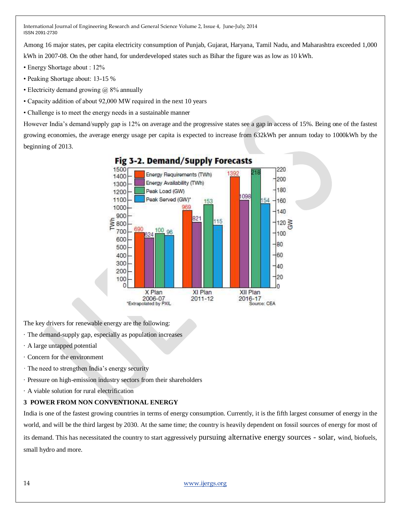Among 16 major states, per capita electricity consumption of Punjab, Gujarat, Haryana, Tamil Nadu, and Maharashtra exceeded 1,000

kWh in 2007-08. On the other hand, for underdeveloped states such as Bihar the figure was as low as 10 kWh.

- Energy Shortage about : 12%
- Peaking Shortage about: 13-15 %
- Electricity demand growing  $\omega$  8% annually
- Capacity addition of about 92,000 MW required in the next 10 years
- Challenge is to meet the energy needs in a sustainable manner

However India's demand/supply gap is 12% on average and the progressive states see a gap in access of 15%. Being one of the fastest growing economies, the average energy usage per capita is expected to increase from 632kWh per annum today to 1000kWh by the beginning of 2013.



The key drivers for renewable energy are the following:

- · The demand-supply gap, especially as population increases
- · A large untapped potential
- · Concern for the environment
- · The need to strengthen India's energy security
- · Pressure on high-emission industry sectors from their shareholders
- · A viable solution for rural electrification

# **3 POWER FROM NON CONVENTIONAL ENERGY**

India is one of the fastest growing countries in terms of energy consumption. Currently, it is the fifth largest consumer of energy in the world, and will be the third largest by 2030. At the same time; the country is heavily dependent on fossil sources of energy for most of its demand. This has necessitated the country to start aggressively pursuing alternative energy sources - solar, wind, biofuels, small hydro and more.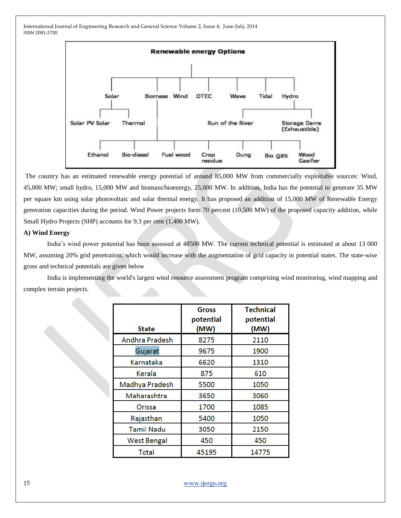

The country has an estimated renewable energy potential of around 85,000 MW from commercially exploitable sources: Wind, 45,000 MW; small hydro, 15,000 MW and biomass/bioenergy, 25,000 MW. In addition, India has the potential to generate 35 MW per square km using solar photovoltaic and solar thermal energy. It has proposed an addition of 15,000 MW of Renewable Energy generation capacities during the period. Wind Power projects form 70 percent (10,500 MW) of the proposed capacity addition, while Small Hydro Projects (SHP) accounts for 9.3 per cent (1,400 MW).

### **A) Wind Energy**

India's wind power potential has been assessed at 48500 MW. The current technical potential is estimated at about 13 000 MW, assuming 20% grid penetration, which would increase with the augmentation of grid capacity in potential states. The state-wise gross and technical potentials are given below

India is implementing the world's largest wind resource assessment program comprising wind monitoring, wind mapping and complex terrain projects.

|                       | Gross<br>potential | <b>Technical</b><br>potential |
|-----------------------|--------------------|-------------------------------|
| State                 | (MW)               | (MW)                          |
| <b>Andhra Pradesh</b> | 8275               | 2110                          |
| Gujarat               | 9675               | 1900                          |
| Karnataka             | 6620               | 1310                          |
| Kerala                | 875                | 610                           |
| Madhya Pradesh        | 5500               | 1050                          |
| Maharashtra           | 3650               | 3060                          |
| Orissa                | 1700               | 1085                          |
| Rajasthan             | 5400               | 1050                          |
| <b>Tamil Nadu</b>     | 3050               | 2150                          |
| <b>West Bengal</b>    | 450                | 450                           |
| <b>Total</b>          | 45195              | 14775                         |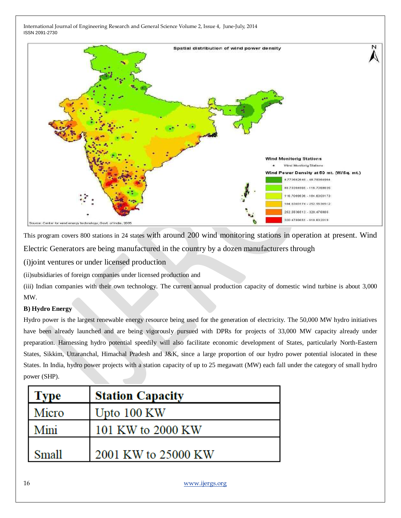

This program covers 800 stations in 24 states with around 200 wind monitoring stations in operation at present. Wind Electric Generators are being manufactured in the country by a dozen manufacturers through

(i)joint ventures or under licensed production

(ii)subsidiaries of foreign companies under licensed production and

(iii) Indian companies with their own technology. The current annual production capacity of domestic wind turbine is about 3,000 MW.

# **B) Hydro Energy**

Hydro power is the largest renewable energy resource being used for the generation of electricity. The 50,000 MW hydro initiatives have been already launched and are being vigorously pursued with DPRs for projects of 33,000 MW capacity already under preparation. Harnessing hydro potential speedily will also facilitate economic development of States, particularly North-Eastern States, Sikkim, Uttaranchal, Himachal Pradesh and J&K, since a large proportion of our hydro power potential islocated in these States. In India, hydro power projects with a station capacity of up to 25 megawatt (MW) each fall under the category of small hydro power (SHP).

| <b>Type</b>  | <b>Station Capacity</b> |
|--------------|-------------------------|
| Micro        | Upto 100 KW             |
| Mini         | 101 KW to 2000 KW       |
| <b>Small</b> | 2001 KW to 25000 KW     |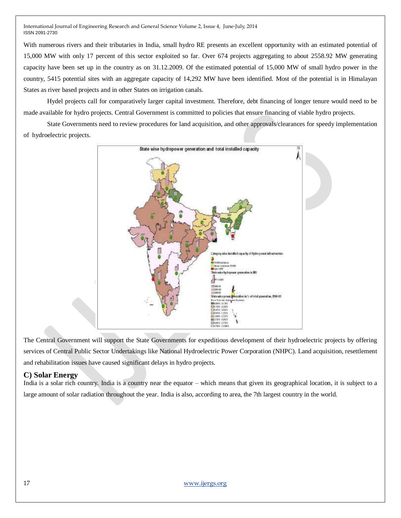With numerous rivers and their tributaries in India, small hydro RE presents an excellent opportunity with an estimated potential of 15,000 MW with only 17 percent of this sector exploited so far. Over 674 projects aggregating to about 2558.92 MW generating capacity have been set up in the country as on 31.12.2009. Of the estimated potential of 15,000 MW of small hydro power in the country, 5415 potential sites with an aggregate capacity of 14,292 MW have been identified. Most of the potential is in Himalayan States as river based projects and in other States on irrigation canals.

Hydel projects call for comparatively larger capital investment. Therefore, debt financing of longer tenure would need to be made available for hydro projects. Central Government is committed to policies that ensure financing of viable hydro projects.

State Governments need to review procedures for land acquisition, and other approvals/clearances for speedy implementation of hydroelectric projects.



The Central Government will support the State Governments for expeditious development of their hydroelectric projects by offering services of Central Public Sector Undertakings like National Hydroelectric Power Corporation (NHPC). Land acquisition, resettlement and rehabilitation issues have caused significant delays in hydro projects.

# **C) Solar Energy**

India is a solar rich country. India is a country near the equator – which means that given its geographical location, it is subject to a large amount of solar radiation throughout the year. India is also, according to area, the 7th largest country in the world.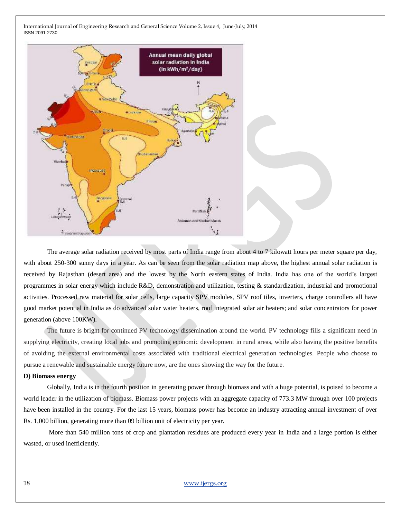

The average solar radiation received by most parts of India range from about 4 to 7 kilowatt hours per meter square per day, with about 250-300 sunny days in a year. As can be seen from the solar radiation map above, the highest annual solar radiation is received by Rajasthan (desert area) and the lowest by the North eastern states of India. India has one of the world's largest programmes in solar energy which include R&D, demonstration and utilization, testing & standardization, industrial and promotional activities. Processed raw material for solar cells, large capacity SPV modules, SPV roof tiles, inverters, charge controllers all have good market potential in India as do advanced solar water heaters, roof integrated solar air heaters; and solar concentrators for power generation (above 100KW).

The future is bright for continued PV technology dissemination around the world. PV technology fills a significant need in supplying electricity, creating local jobs and promoting economic development in rural areas, while also having the positive benefits of avoiding the external environmental costs associated with traditional electrical generation technologies. People who choose to pursue a renewable and sustainable energy future now, are the ones showing the way for the future.

#### **D) Biomass energy**

Globally, India is in the fourth position in generating power through biomass and with a huge potential, is poised to become a world leader in the utilization of biomass. Biomass power projects with an aggregate capacity of 773.3 MW through over 100 projects have been installed in the country. For the last 15 years, biomass power has become an industry attracting annual investment of over Rs. 1,000 billion, generating more than 09 billion unit of electricity per year.

More than 540 million tons of crop and plantation residues are produced every year in India and a large portion is either wasted, or used inefficiently.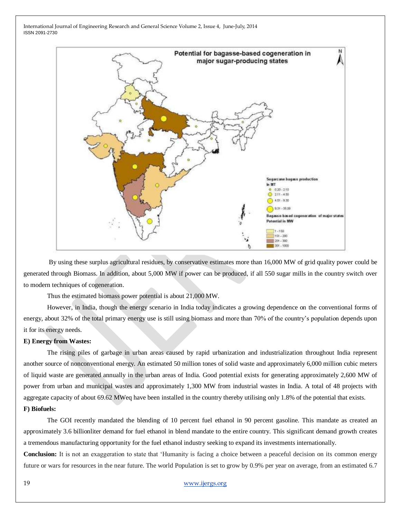

By using these surplus agricultural residues, by conservative estimates more than 16,000 MW of grid quality power could be generated through Biomass. In addition, about 5,000 MW if power can be produced, if all 550 sugar mills in the country switch over to modern techniques of cogeneration.

Thus the estimated biomass power potential is about 21,000 MW.

However, in India, though the energy scenario in India today indicates a growing dependence on the conventional forms of energy, about 32% of the total primary energy use is still using biomass and more than 70% of the country's population depends upon it for its energy needs.

#### **E) Energy from Wastes:**

The rising piles of garbage in urban areas caused by rapid urbanization and industrialization throughout India represent another source of nonconventional energy. An estimated 50 million tones of solid waste and approximately 6,000 million cubic meters of liquid waste are generated annually in the urban areas of India. Good potential exists for generating approximately 2,600 MW of power from urban and municipal wastes and approximately 1,300 MW from industrial wastes in India. A total of 48 projects with aggregate capacity of about 69.62 MWeq have been installed in the country thereby utilising only 1.8% of the potential that exists. **F) Biofuels:**

The GOI recently mandated the blending of 10 percent fuel ethanol in 90 percent gasoline. This mandate as created an approximately 3.6 billionliter demand for fuel ethanol in blend mandate to the entire country. This significant demand growth creates a tremendous manufacturing opportunity for the fuel ethanol industry seeking to expand its investments internationally.

**Conclusion:** It is not an exaggeration to state that 'Humanity is facing a choice between a peaceful decision on its common energy future or wars for resources in the near future. The world Population is set to grow by 0.9% per year on average, from an estimated 6.7